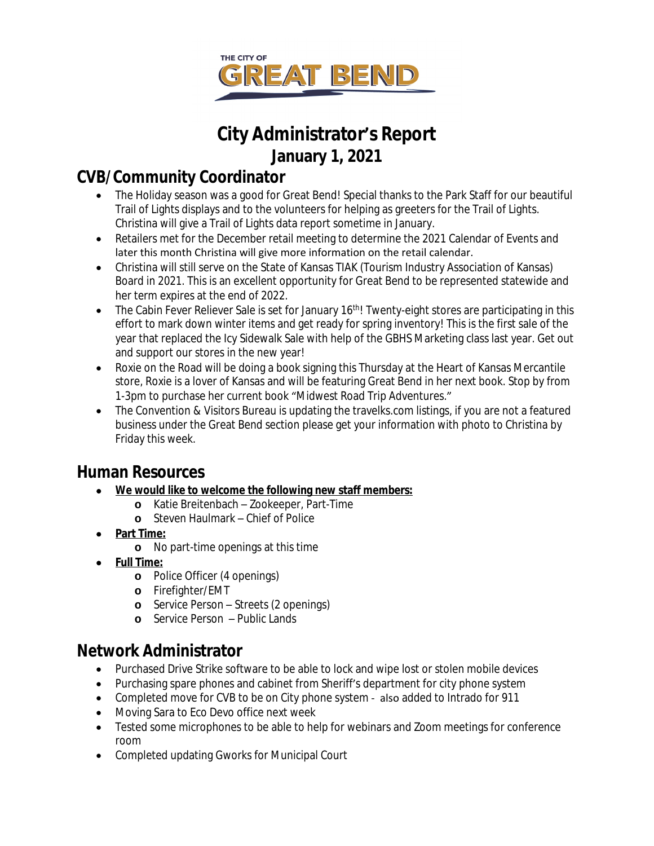

# **City Administrator's Report January 1, 2021**

# **CVB/Community Coordinator**

- The Holiday season was a good for Great Bend! Special thanks to the Park Staff for our beautiful Trail of Lights displays and to the volunteers for helping as greeters for the Trail of Lights. Christina will give a Trail of Lights data report sometime in January.
- Retailers met for the December retail meeting to determine the 2021 Calendar of Events and later this month Christina will give more information on the retail calendar.
- Christina will still serve on the State of Kansas TIAK (Tourism Industry Association of Kansas) Board in 2021. This is an excellent opportunity for Great Bend to be represented statewide and her term expires at the end of 2022.
- The Cabin Fever Reliever Sale is set for January 16<sup>th</sup>! Twenty-eight stores are participating in this effort to mark down winter items and get ready for spring inventory! This is the first sale of the year that replaced the Icy Sidewalk Sale with help of the GBHS Marketing class last year. Get out and support our stores in the new year!
- Roxie on the Road will be doing a book signing this Thursday at the Heart of Kansas Mercantile store, Roxie is a lover of Kansas and will be featuring Great Bend in her next book. Stop by from 1-3pm to purchase her current book "Midwest Road Trip Adventures."
- The Convention & Visitors Bureau is updating the travelks.com listings, if you are not a featured business under the Great Bend section please get your information with photo to Christina by Friday this week.

## **Human Resources**

- **We would like to welcome the following new staff members:**
	- **o** Katie Breitenbach Zookeeper, Part-Time
	- **o** Steven Haulmark Chief of Police
- **Part Time:**
	- **o** No part-time openings at this time
- **Full Time:**
	- **o** Police Officer (4 openings)
	- **o** Firefighter/EMT
	- **o** Service Person Streets (2 openings)
	- **o** Service Person Public Lands

### **Network Administrator**

- Purchased Drive Strike software to be able to lock and wipe lost or stolen mobile devices
- Purchasing spare phones and cabinet from Sheriff's department for city phone system
- Completed move for CVB to be on City phone system also added to Intrado for 911
- Moving Sara to Eco Devo office next week
- Tested some microphones to be able to help for webinars and Zoom meetings for conference room
- Completed updating Gworks for Municipal Court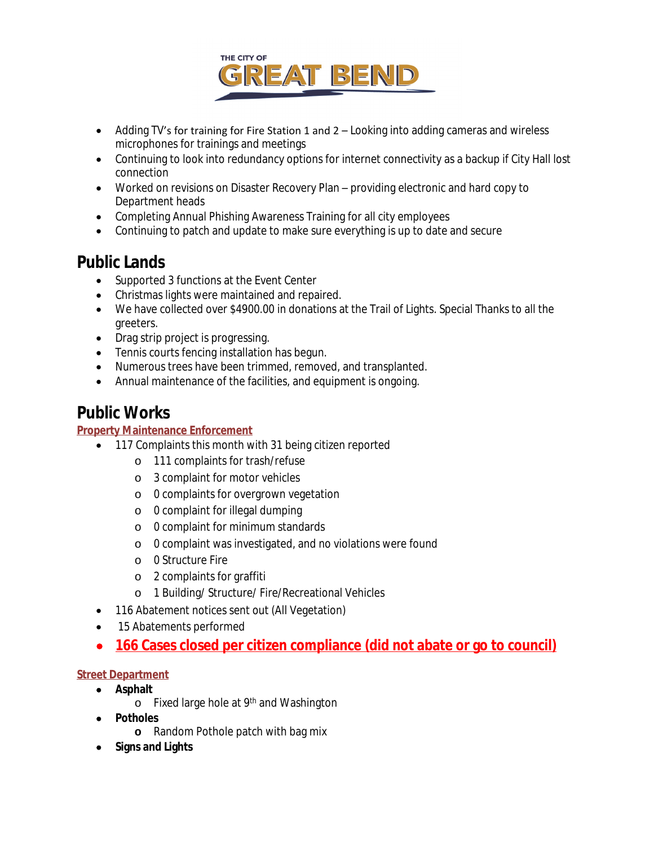

- Adding TV's for training for Fire Station 1 and 2 Looking into adding cameras and wireless microphones for trainings and meetings
- Continuing to look into redundancy options for internet connectivity as a backup if City Hall lost connection
- Worked on revisions on Disaster Recovery Plan providing electronic and hard copy to Department heads
- Completing Annual Phishing Awareness Training for all city employees
- Continuing to patch and update to make sure everything is up to date and secure

### **Public Lands**

- Supported 3 functions at the Event Center
- Christmas lights were maintained and repaired.
- We have collected over \$4900.00 in donations at the Trail of Lights. Special Thanks to all the greeters.
- Drag strip project is progressing.
- Tennis courts fencing installation has begun.
- Numerous trees have been trimmed, removed, and transplanted.
- Annual maintenance of the facilities, and equipment is ongoing.

## **Public Works**

#### **Property Maintenance Enforcement**

- 117 Complaints this month with 31 being citizen reported
	- o 111 complaints for trash/refuse
	- o 3 complaint for motor vehicles
	- o 0 complaints for overgrown vegetation
	- o 0 complaint for illegal dumping
	- o 0 complaint for minimum standards
	- o 0 complaint was investigated, and no violations were found
	- o 0 Structure Fire
	- o 2 complaints for graffiti
	- o 1 Building/ Structure/ Fire/Recreational Vehicles
- 116 Abatement notices sent out (All Vegetation)
- 15 Abatements performed
- **166 Cases closed per citizen compliance (did not abate or go to council)**

#### **Street Department**

- **Asphalt**
	- o Fixed large hole at 9th and Washington
- **Potholes**
	- **o** Random Pothole patch with bag mix
- **Signs and Lights**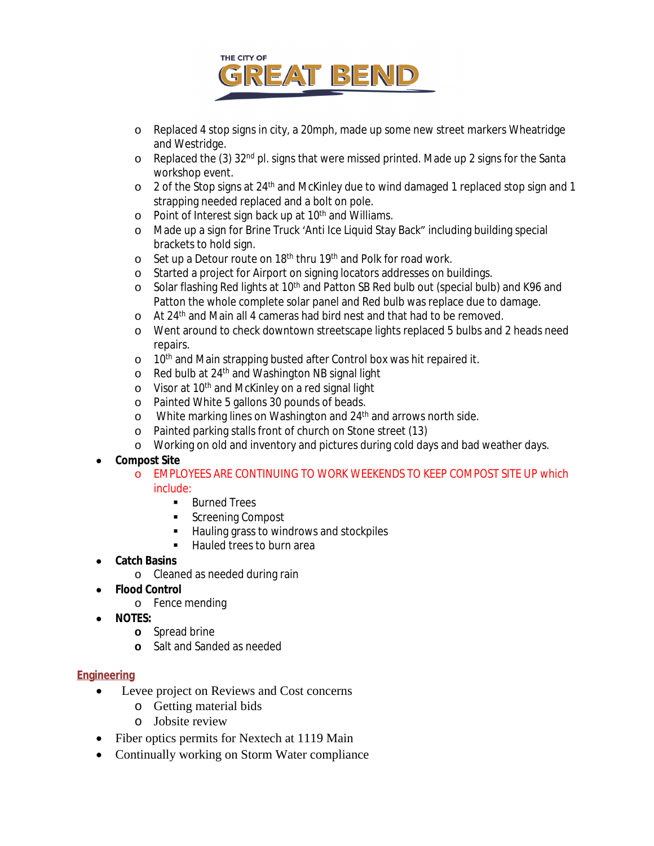

- o Replaced 4 stop signs in city, a 20mph, made up some new street markers Wheatridge and Westridge.
- o Replaced the (3) 32nd pl. signs that were missed printed. Made up 2 signs for the Santa workshop event.
- o 2 of the Stop signs at 24th and McKinley due to wind damaged 1 replaced stop sign and 1 strapping needed replaced and a bolt on pole.
- o Point of Interest sign back up at 10<sup>th</sup> and Williams.
- o Made up a sign for Brine Truck 'Anti Ice Liquid Stay Back" including building special brackets to hold sign.
- o Set up a Detour route on 18th thru 19th and Polk for road work.
- o Started a project for Airport on signing locators addresses on buildings.
- o Solar flashing Red lights at 10<sup>th</sup> and Patton SB Red bulb out (special bulb) and K96 and Patton the whole complete solar panel and Red bulb was replace due to damage.
- o At 24<sup>th</sup> and Main all 4 cameras had bird nest and that had to be removed.
- o Went around to check downtown streetscape lights replaced 5 bulbs and 2 heads need repairs.
- o 10<sup>th</sup> and Main strapping busted after Control box was hit repaired it.
- o Red bulb at 24<sup>th</sup> and Washington NB signal light
- o Visor at 10<sup>th</sup> and McKinley on a red signal light
- o Painted White 5 gallons 30 pounds of beads.
- o White marking lines on Washington and 24<sup>th</sup> and arrows north side.
- o Painted parking stalls front of church on Stone street (13)
- o Working on old and inventory and pictures during cold days and bad weather days.

#### **Compost Site**

- o EMPLOYEES ARE CONTINUING TO WORK WEEKENDS TO KEEP COMPOST SITE UP which include:
	- **Burned Trees**
	- Screening Compost
	- Hauling grass to windrows and stockpiles
	- Hauled trees to burn area
- **Catch Basins**
	- o Cleaned as needed during rain
- **Flood Control**
	- o Fence mending
- **NOTES:**
	- **o** Spread brine
	- **o** Salt and Sanded as needed

#### **Engineering**

- Levee project on Reviews and Cost concerns
	- o Getting material bids
	- o Jobsite review
- Fiber optics permits for Nextech at 1119 Main
- Continually working on Storm Water compliance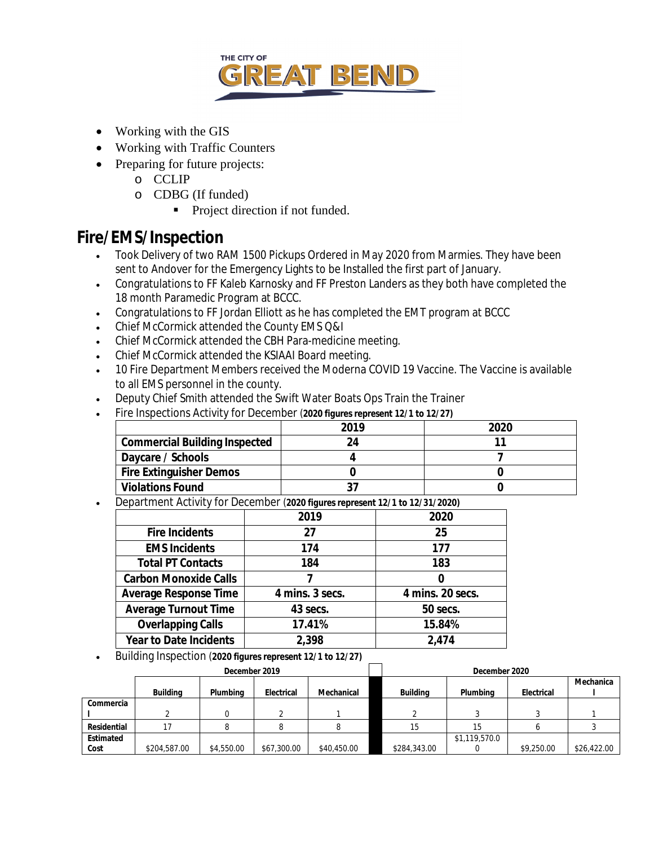

- Working with the GIS
- Working with Traffic Counters
- Preparing for future projects:
	- o CCLIP
	- o CDBG (If funded)
		- Project direction if not funded.

### **Fire/EMS/Inspection**

- Took Delivery of two RAM 1500 Pickups Ordered in May 2020 from Marmies. They have been sent to Andover for the Emergency Lights to be Installed the first part of January.
- Congratulations to FF Kaleb Karnosky and FF Preston Landers as they both have completed the 18 month Paramedic Program at BCCC.
- Congratulations to FF Jordan Elliott as he has completed the EMT program at BCCC
- Chief McCormick attended the County EMS Q&I
- Chief McCormick attended the CBH Para-medicine meeting.
- Chief McCormick attended the KSIAAI Board meeting.
- 10 Fire Department Members received the Moderna COVID 19 Vaccine. The Vaccine is available to all EMS personnel in the county.
- Deputy Chief Smith attended the Swift Water Boats Ops Train the Trainer
- Fire Inspections Activity for December (*2020 figures represent 12/1 to 12/27)*

|                                      | 2019 | 2020 |
|--------------------------------------|------|------|
| <b>Commercial Building Inspected</b> | 74   |      |
| Daycare / Schools                    |      |      |
| <b>Fire Extinguisher Demos</b>       |      |      |
| <b>Violations Found</b>              |      |      |

Department Activity for December (*2020 figures represent 12/1 to 12/31/2020)*

|                               | 2019            | 2020             |
|-------------------------------|-----------------|------------------|
| <b>Fire Incidents</b>         | 27              | 25               |
| <b>EMS Incidents</b>          | 174             | 177              |
| <b>Total PT Contacts</b>      | 184             | 183              |
| <b>Carbon Monoxide Calls</b>  |                 |                  |
| <b>Average Response Time</b>  | 4 mins. 3 secs. | 4 mins. 20 secs. |
| <b>Average Turnout Time</b>   | 43 secs.        | 50 secs.         |
| <b>Overlapping Calls</b>      | 17.41%          | 15.84%           |
| <b>Year to Date Incidents</b> | 2,398           | 2,474            |

Building Inspection (*2020 figures represent 12/1 to 12/27)*

|             |              | December 2019 |                          |             | December 2020   |               |            |             |  |
|-------------|--------------|---------------|--------------------------|-------------|-----------------|---------------|------------|-------------|--|
|             | Building     | Plumbing      | Mechanical<br>Electrical |             | <b>Building</b> | Plumbing      | Electrical | Mechanica   |  |
| Commercia   |              |               |                          |             |                 |               |            |             |  |
|             |              |               |                          |             |                 |               |            |             |  |
| Residential |              |               |                          |             | 15              |               |            |             |  |
| Estimated   |              |               |                          |             |                 | \$1,119,570.0 |            |             |  |
| Cost        | \$204,587.00 | \$4,550.00    | \$67,300.00              | \$40,450.00 | \$284,343.00    |               | \$9,250.00 | \$26,422.00 |  |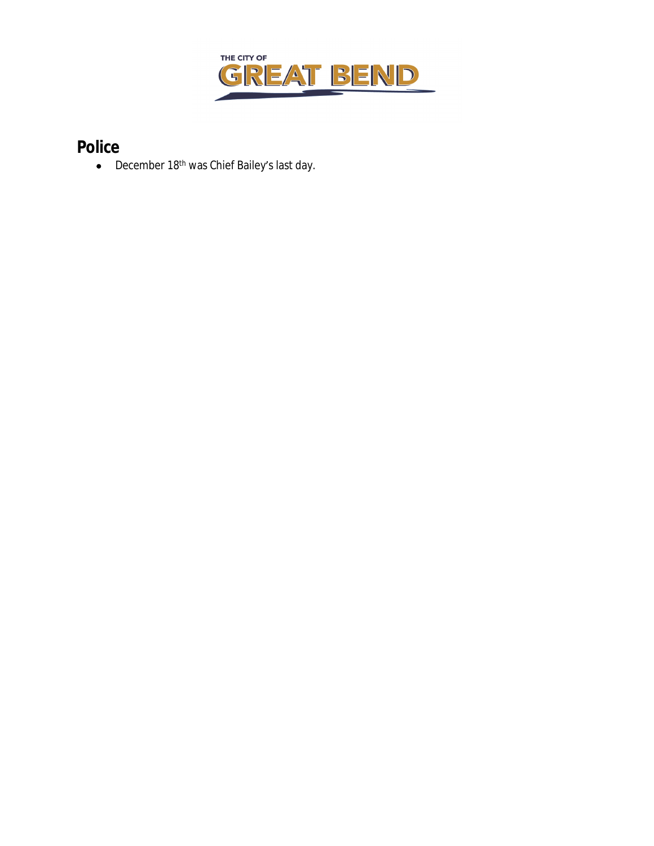

# **Police**

• December 18<sup>th</sup> was Chief Bailey's last day.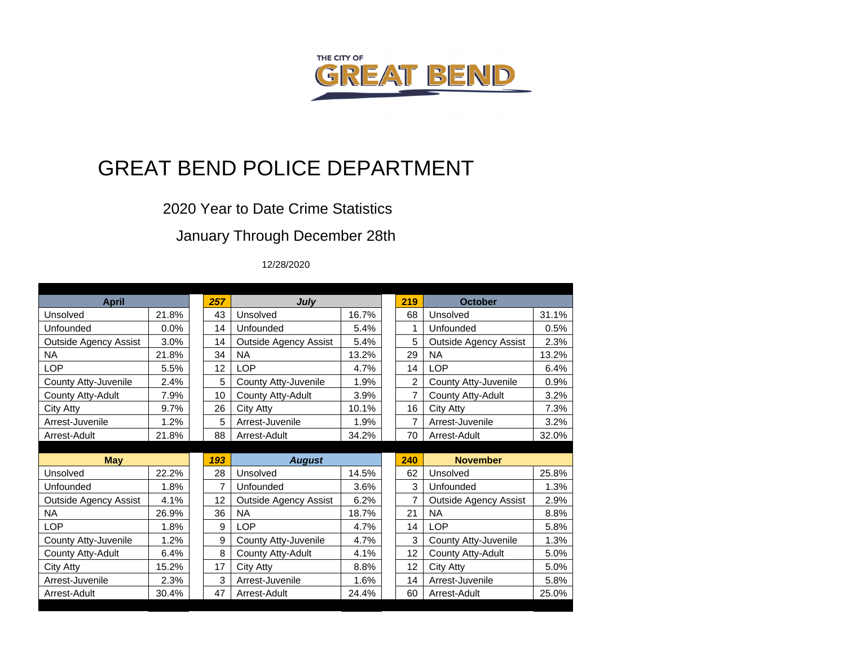

# GREAT BEND POLICE DEPARTMENT

### 2020 Year to Date Crime Statistics

## January Through December 28th

#### 12/28/2020

| <b>April</b>                 |       |  | 257 | July                         |       |  | 219 | <b>October</b>               |       |
|------------------------------|-------|--|-----|------------------------------|-------|--|-----|------------------------------|-------|
| Unsolved                     | 21.8% |  | 43  | Unsolved                     | 16.7% |  | 68  | Unsolved                     | 31.1% |
| Unfounded                    | 0.0%  |  | 14  | Unfounded                    | 5.4%  |  | 1   | Unfounded                    | 0.5%  |
| <b>Outside Agency Assist</b> | 3.0%  |  | 14  | <b>Outside Agency Assist</b> | 5.4%  |  | 5   | <b>Outside Agency Assist</b> | 2.3%  |
| <b>NA</b>                    | 21.8% |  | 34  | <b>NA</b>                    | 13.2% |  | 29  | <b>NA</b>                    | 13.2% |
| <b>LOP</b>                   | 5.5%  |  | 12  | <b>LOP</b>                   | 4.7%  |  | 14  | <b>LOP</b>                   | 6.4%  |
| County Atty-Juvenile         | 2.4%  |  | 5   | County Atty-Juvenile         | 1.9%  |  | 2   | County Atty-Juvenile         | 0.9%  |
| County Atty-Adult            | 7.9%  |  | 10  | County Atty-Adult            | 3.9%  |  | 7   | County Atty-Adult            | 3.2%  |
| City Atty                    | 9.7%  |  | 26  | City Atty                    | 10.1% |  | 16  | City Atty                    | 7.3%  |
| Arrest-Juvenile              | 1.2%  |  | 5   | Arrest-Juvenile              | 1.9%  |  | 7   | Arrest-Juvenile              | 3.2%  |
| Arrest-Adult                 | 21.8% |  | 88  | Arrest-Adult                 | 34.2% |  | 70  | Arrest-Adult                 | 32.0% |
|                              |       |  |     |                              |       |  |     |                              |       |
|                              |       |  |     |                              |       |  |     |                              |       |
| <b>May</b>                   |       |  | 193 | <b>August</b>                |       |  | 240 | <b>November</b>              |       |
| Unsolved                     | 22.2% |  | 28  | Unsolved                     | 14.5% |  | 62  | Unsolved                     | 25.8% |
| Unfounded                    | 1.8%  |  | 7   | Unfounded                    | 3.6%  |  | 3   | Unfounded                    | 1.3%  |
| <b>Outside Agency Assist</b> | 4.1%  |  | 12  | <b>Outside Agency Assist</b> | 6.2%  |  | 7   | <b>Outside Agency Assist</b> | 2.9%  |
| <b>NA</b>                    | 26.9% |  | 36  | <b>NA</b>                    | 18.7% |  | 21  | <b>NA</b>                    | 8.8%  |
| LOP                          | 1.8%  |  | 9   | <b>LOP</b>                   | 4.7%  |  | 14  | LOP                          | 5.8%  |
| County Atty-Juvenile         | 1.2%  |  | 9   | County Atty-Juvenile         | 4.7%  |  | 3   | County Atty-Juvenile         | 1.3%  |
| County Atty-Adult            | 6.4%  |  | 8   | County Atty-Adult            | 4.1%  |  | 12  | County Atty-Adult            | 5.0%  |
| City Atty                    | 15.2% |  | 17  | City Atty                    | 8.8%  |  | 12  | City Atty                    | 5.0%  |
| Arrest-Juvenile              | 2.3%  |  | 3   | Arrest-Juvenile              | 1.6%  |  | 14  | Arrest-Juvenile              | 5.8%  |